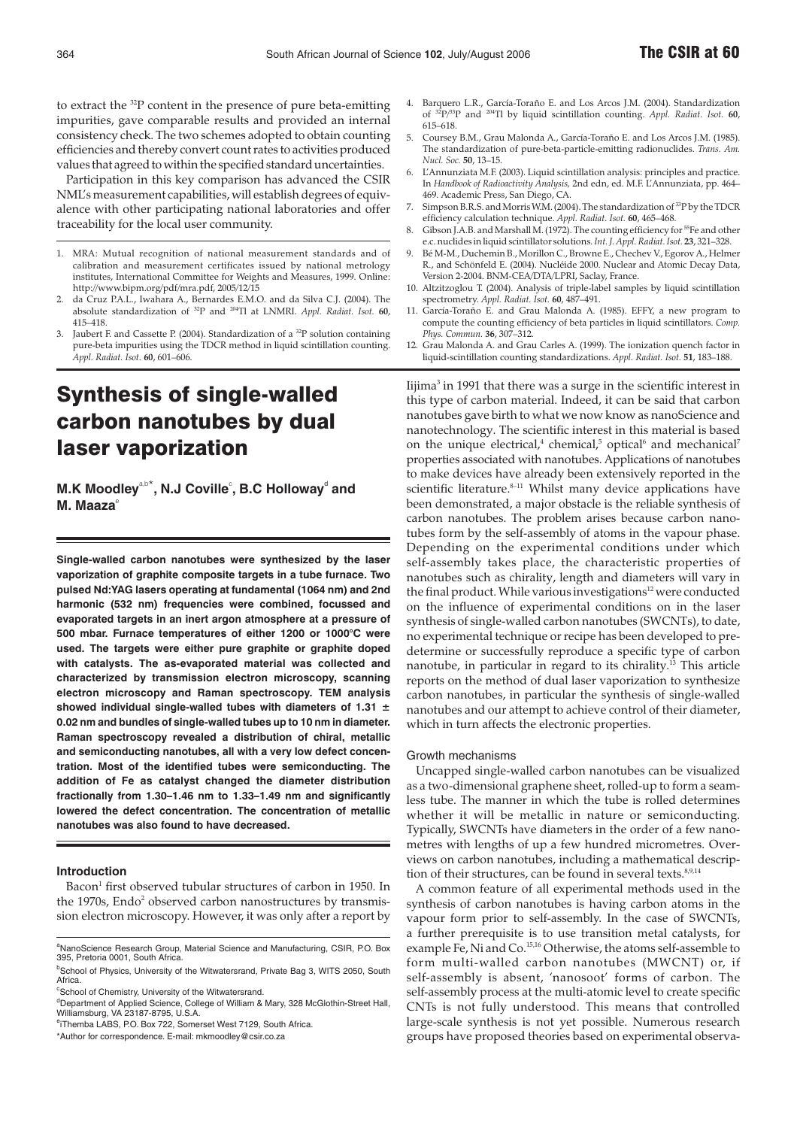# Synthesis of single-walled carbon nanotubes by dual laser vaporization

 $M$ .K Moodley $a^{a,b*}$ , N.J Coville $^c$ , B.C Holloway<sup>d</sup> and **M. Maaza**<sup>e</sup>

**Single-walled carbon nanotubes were synthesized by the laser vaporization of graphite composite targets in a tube furnace. Two pulsed Nd:YAG lasers operating at fundamental (1064 nm) and 2nd harmonic (532 nm) frequencies were combined, focussed and evaporated targets in an inert argon atmosphere at a pressure of 500 mbar. Furnace temperatures of either 1200 or 1000°C were used. The targets were either pure graphite or graphite doped with catalysts. The as-evaporated material was collected and characterized by transmission electron microscopy, scanning electron microscopy and Raman spectroscopy. TEM analysis showed individual single-walled tubes with diameters of 1.31 ± 0.02 nm and bundles of single-walled tubes up to 10 nm in diameter. Raman spectroscopy revealed a distribution of chiral, metallic and semiconducting nanotubes, all with a very low defect concentration. Most of the identified tubes were semiconducting. The addition of Fe as catalyst changed the diameter distribution fractionally from 1.30–1.46 nm to 1.33–1.49 nm and significantly lowered the defect concentration. The concentration of metallic nanotubes was also found to have decreased.**

#### **Introduction**

Bacon<sup>1</sup> first observed tubular structures of carbon in 1950. In the 1970s, Endo<sup>2</sup> observed carbon nanostructures by transmission electron microscopy. However, it was only after a report by

Iijima $3$  in 1991 that there was a surge in the scientific interest in this type of carbon material. Indeed, it can be said that carbon nanotubes gave birth to what we now know as nanoScience and nanotechnology. The scientific interest in this material is based on the unique electrical, $4$  chemical, $5$  optical $6$  and mechanical<sup>7</sup> properties associated with nanotubes. Applications of nanotubes to make devices have already been extensively reported in the scientific literature.<sup>8-11</sup> Whilst many device applications have been demonstrated, a major obstacle is the reliable synthesis of carbon nanotubes. The problem arises because carbon nanotubes form by the self-assembly of atoms in the vapour phase. Depending on the experimental conditions under which self-assembly takes place, the characteristic properties of nanotubes such as chirality, length and diameters will vary in the final product. While various investigations<sup>12</sup> were conducted on the influence of experimental conditions on in the laser synthesis of single-walled carbon nanotubes (SWCNTs), to date, no experimental technique or recipe has been developed to predetermine or successfully reproduce a specific type of carbon nanotube, in particular in regard to its chirality.13 This article reports on the method of dual laser vaporization to synthesize carbon nanotubes, in particular the synthesis of single-walled nanotubes and our attempt to achieve control of their diameter, which in turn affects the electronic properties.

#### Growth mechanisms

Uncapped single-walled carbon nanotubes can be visualized as a two-dimensional graphene sheet, rolled-up to form a seamless tube. The manner in which the tube is rolled determines whether it will be metallic in nature or semiconducting. Typically, SWCNTs have diameters in the order of a few nanometres with lengths of up a few hundred micrometres. Overviews on carbon nanotubes, including a mathematical description of their structures, can be found in several texts. $8,9,14$ 

A common feature of all experimental methods used in the synthesis of carbon nanotubes is having carbon atoms in the vapour form prior to self-assembly. In the case of SWCNTs, a further prerequisite is to use transition metal catalysts, for example Fe, Ni and Co.<sup>15,16</sup> Otherwise, the atoms self-assemble to form multi-walled carbon nanotubes (MWCNT) or, if self-assembly is absent, 'nanosoot' forms of carbon. The self-assembly process at the multi-atomic level to create specific CNTs is not fully understood. This means that controlled large-scale synthesis is not yet possible. Numerous research groups have proposed theories based on experimental observa-

<sup>&</sup>lt;sup>a</sup>NanoScience Research Group, Material Science and Manufacturing, CSIR, P.O. Box 395, Pretoria 0001, South Africa.

<sup>&</sup>lt;sup>b</sup>School of Physics, University of the Witwatersrand, Private Bag 3, WITS 2050, South Africa.

<sup>&</sup>lt;sup>c</sup>School of Chemistry, University of the Witwatersrand.

<sup>&</sup>lt;sup>d</sup>Department of Applied Science, College of William & Mary, 328 McGlothin-Street Hall, Williamsburg, VA 23187-8795, U.S.A.

<sup>&</sup>lt;sup>e</sup>iThemba LABS, P.O. Box 722, Somerset West 7129, South Africa.

<sup>\*</sup>Author for correspondence. E-mail: mkmoodley@csir.co.za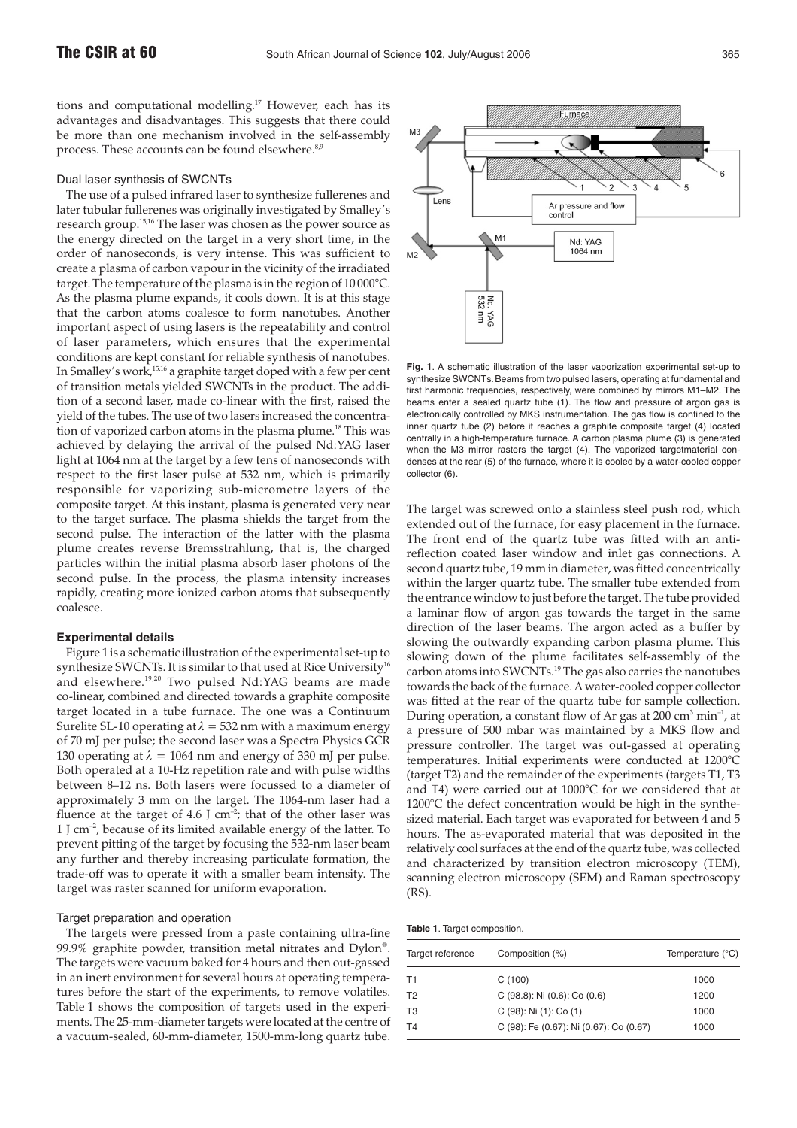tions and computational modelling.<sup>17</sup> However, each has its advantages and disadvantages. This suggests that there could be more than one mechanism involved in the self-assembly process. These accounts can be found elsewhere.<sup>8,9</sup>

### Dual laser synthesis of SWCNTs

The use of a pulsed infrared laser to synthesize fullerenes and later tubular fullerenes was originally investigated by Smalley's research group.15,16 The laser was chosen as the power source as the energy directed on the target in a very short time, in the order of nanoseconds, is very intense. This was sufficient to create a plasma of carbon vapour in the vicinity of the irradiated target. The temperature of the plasma is in the region of 10 000°C. As the plasma plume expands, it cools down. It is at this stage that the carbon atoms coalesce to form nanotubes. Another important aspect of using lasers is the repeatability and control of laser parameters, which ensures that the experimental conditions are kept constant for reliable synthesis of nanotubes. In Smalley's work,<sup>15,16</sup> a graphite target doped with a few per cent of transition metals yielded SWCNTs in the product. The addition of a second laser, made co-linear with the first, raised the yield of the tubes. The use of two lasers increased the concentration of vaporized carbon atoms in the plasma plume.<sup>18</sup> This was achieved by delaying the arrival of the pulsed Nd:YAG laser light at 1064 nm at the target by a few tens of nanoseconds with respect to the first laser pulse at 532 nm, which is primarily responsible for vaporizing sub-micrometre layers of the composite target. At this instant, plasma is generated very near to the target surface. The plasma shields the target from the second pulse. The interaction of the latter with the plasma plume creates reverse Bremsstrahlung, that is, the charged particles within the initial plasma absorb laser photons of the second pulse. In the process, the plasma intensity increases rapidly, creating more ionized carbon atoms that subsequently coalesce.

#### **Experimental details**

Figure 1 is a schematic illustration of the experimental set-up to synthesize SWCNTs. It is similar to that used at Rice University<sup>16</sup> and elsewhere.<sup>19,20</sup> Two pulsed Nd:YAG beams are made co-linear, combined and directed towards a graphite composite target located in a tube furnace. The one was a Continuum Surelite SL-10 operating at  $\lambda = 532$  nm with a maximum energy of 70 mJ per pulse; the second laser was a Spectra Physics GCR 130 operating at  $\lambda = 1064$  nm and energy of 330 mJ per pulse. Both operated at a 10-Hz repetition rate and with pulse widths between 8–12 ns. Both lasers were focussed to a diameter of approximately 3 mm on the target. The 1064-nm laser had a fluence at the target of 4.6 J cm<sup>-2</sup>; that of the other laser was  $1$  J cm<sup>-2</sup>, because of its limited available energy of the latter. To prevent pitting of the target by focusing the 532-nm laser beam any further and thereby increasing particulate formation, the trade-off was to operate it with a smaller beam intensity. The target was raster scanned for uniform evaporation.

#### Target preparation and operation

The targets were pressed from a paste containing ultra-fine 99.9% graphite powder, transition metal nitrates and Dylon®. The targets were vacuum baked for 4 hours and then out-gassed in an inert environment for several hours at operating temperatures before the start of the experiments, to remove volatiles. Table 1 shows the composition of targets used in the experiments. The 25-mm-diameter targets were located at the centre of a vacuum-sealed, 60-mm-diameter, 1500-mm-long quartz tube.



**Fig. 1**. A schematic illustration of the laser vaporization experimental set-up to synthesize SWCNTs. Beams from two pulsed lasers, operating at fundamental and first harmonic frequencies, respectively, were combined by mirrors M1–M2. The beams enter a sealed quartz tube (1). The flow and pressure of argon gas is electronically controlled by MKS instrumentation. The gas flow is confined to the inner quartz tube (2) before it reaches a graphite composite target (4) located centrally in a high-temperature furnace. A carbon plasma plume (3) is generated when the M3 mirror rasters the target (4). The vaporized targetmaterial condenses at the rear (5) of the furnace, where it is cooled by a water-cooled copper collector (6).

The target was screwed onto a stainless steel push rod, which extended out of the furnace, for easy placement in the furnace. The front end of the quartz tube was fitted with an antireflection coated laser window and inlet gas connections. A second quartz tube, 19 mm in diameter, was fitted concentrically within the larger quartz tube. The smaller tube extended from the entrance window to just before the target. The tube provided a laminar flow of argon gas towards the target in the same direction of the laser beams. The argon acted as a buffer by slowing the outwardly expanding carbon plasma plume. This slowing down of the plume facilitates self-assembly of the carbon atoms into SWCNTs.<sup>19</sup> The gas also carries the nanotubes towards the back of the furnace. A water-cooled copper collector was fitted at the rear of the quartz tube for sample collection. During operation, a constant flow of Ar gas at  $200 \text{ cm}^3 \text{ min}^{-1}$ , at a pressure of 500 mbar was maintained by a MKS flow and pressure controller. The target was out-gassed at operating temperatures. Initial experiments were conducted at 1200°C (target T2) and the remainder of the experiments (targets T1, T3 and T4) were carried out at 1000°C for we considered that at 1200℃ the defect concentration would be high in the synthesized material. Each target was evaporated for between 4 and 5 hours. The as-evaporated material that was deposited in the relatively cool surfaces at the end of the quartz tube, was collected and characterized by transition electron microscopy (TEM), scanning electron microscopy (SEM) and Raman spectroscopy (RS).

## **Table 1**. Target composition.

| Composition (%)                         | Temperature (°C) |
|-----------------------------------------|------------------|
| C(100)                                  | 1000             |
| $C(98.8)$ : Ni $(0.6)$ : Co $(0.6)$     | 1200             |
| $C(98)$ : Ni $(1)$ : Co $(1)$           | 1000             |
| C (98): Fe (0.67): Ni (0.67): Co (0.67) | 1000             |
|                                         |                  |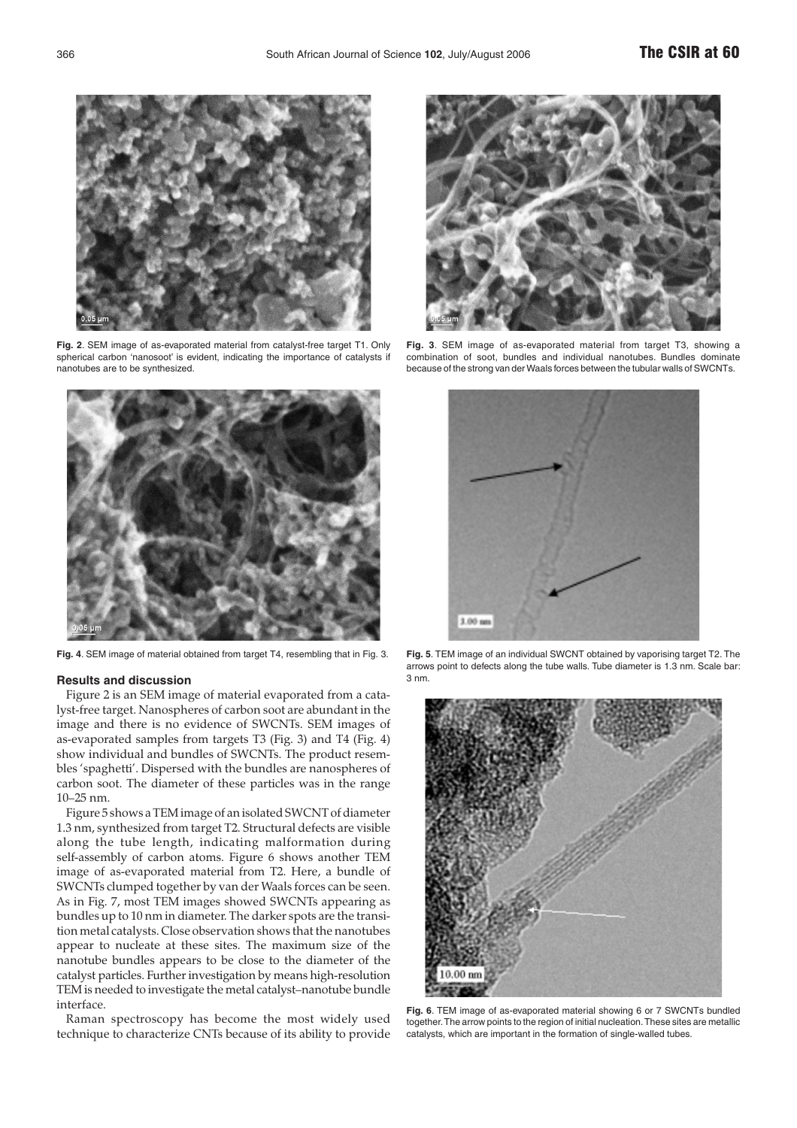

**Fig. 2**. SEM image of as-evaporated material from catalyst-free target T1. Only spherical carbon 'nanosoot' is evident, indicating the importance of catalysts if nanotubes are to be synthesized.



**Fig. 4**. SEM image of material obtained from target T4, resembling that in Fig. 3. **Fig. 5**. TEM image of an individual SWCNT obtained by vaporising target T2. The

## **Results and discussion**

Figure 2 is an SEM image of material evaporated from a catalyst-free target. Nanospheres of carbon soot are abundant in the image and there is no evidence of SWCNTs. SEM images of as-evaporated samples from targets T3 (Fig. 3) and T4 (Fig. 4) show individual and bundles of SWCNTs. The product resembles 'spaghetti'. Dispersed with the bundles are nanospheres of carbon soot. The diameter of these particles was in the range 10–25 nm.

Figure 5 shows a TEM image of an isolated SWCNT of diameter 1.3 nm, synthesized from target T2. Structural defects are visible along the tube length, indicating malformation during self-assembly of carbon atoms. Figure 6 shows another TEM image of as-evaporated material from T2. Here, a bundle of SWCNTs clumped together by van der Waals forces can be seen. As in Fig. 7, most TEM images showed SWCNTs appearing as bundles up to 10 nm in diameter. The darker spots are the transition metal catalysts. Close observation shows that the nanotubes appear to nucleate at these sites. The maximum size of the nanotube bundles appears to be close to the diameter of the catalyst particles. Further investigation by means high-resolution TEM is needed to investigate the metal catalyst–nanotube bundle interface.

Raman spectroscopy has become the most widely used technique to characterize CNTs because of its ability to provide



**Fig. 3**. SEM image of as-evaporated material from target T3, showing a combination of soot, bundles and individual nanotubes. Bundles dominate because of the strong van der Waals forces between the tubular walls of SWCNTs.



arrows point to defects along the tube walls. Tube diameter is 1.3 nm. Scale bar: 3 nm.



**Fig. 6**. TEM image of as-evaporated material showing 6 or 7 SWCNTs bundled together.The arrow points to the region of initial nucleation.These sites are metallic catalysts, which are important in the formation of single-walled tubes.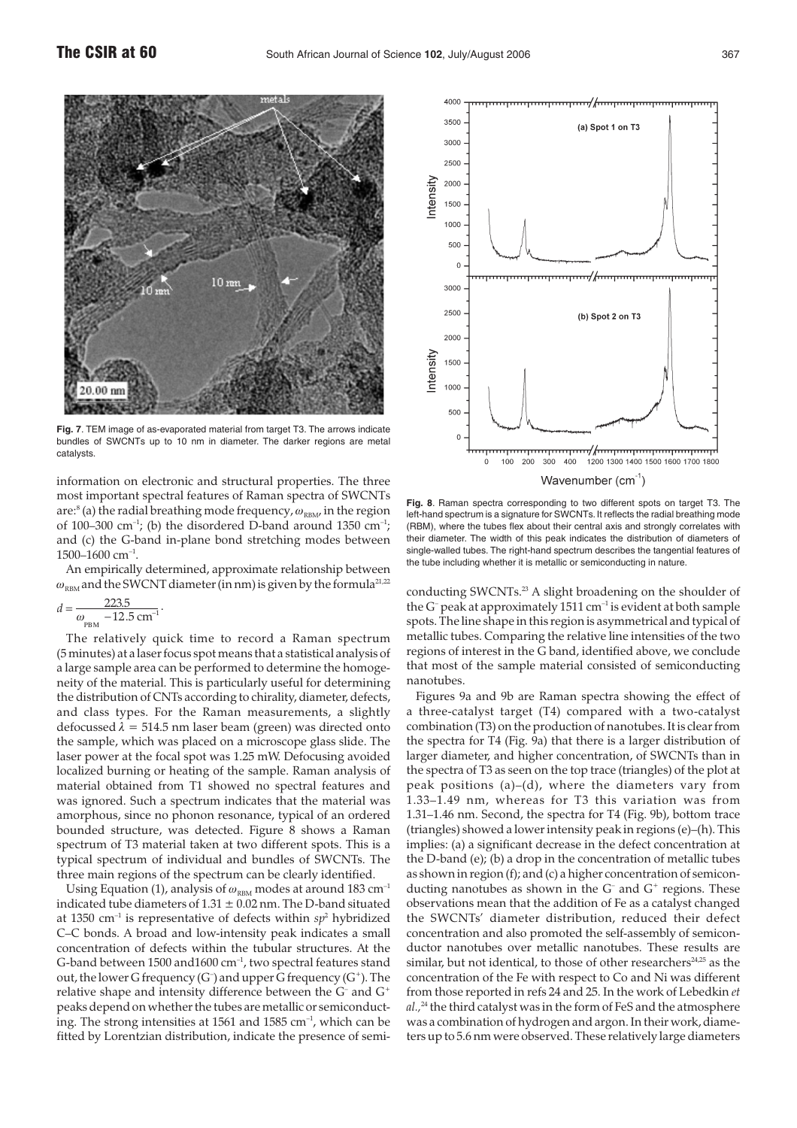

**Fig. 7**. TEM image of as-evaporated material from target T3. The arrows indicate bundles of SWCNTs up to 10 nm in diameter. The darker regions are metal catalysts.

information on electronic and structural properties. The three most important spectral features of Raman spectra of SWCNTs are:<sup>8</sup> (a) the radial breathing mode frequency,  $\omega_{\text{pRM}}$  in the region of 100–300 cm<sup>-1</sup>; (b) the disordered D-band around 1350 cm<sup>-1</sup>; and (c) the G-band in-plane bond stretching modes between 1500–1600 cm $^{-1}$ .

An empirically determined, approximate relationship between  $\omega_{\text{RBM}}$  and the SWCNT diameter (in nm) is given by the formula<sup>21,22</sup>

$$
d = \frac{223.5}{\omega_{\text{PBM}} - 12.5 \text{ cm}^{-1}}.
$$

The relatively quick time to record a Raman spectrum (5 minutes) at a laser focus spot means that a statistical analysis of a large sample area can be performed to determine the homogeneity of the material. This is particularly useful for determining the distribution of CNTs according to chirality, diameter, defects, and class types. For the Raman measurements, a slightly defocussed  $\lambda = 514.5$  nm laser beam (green) was directed onto the sample, which was placed on a microscope glass slide. The laser power at the focal spot was 1.25 mW. Defocusing avoided localized burning or heating of the sample. Raman analysis of material obtained from T1 showed no spectral features and was ignored. Such a spectrum indicates that the material was amorphous, since no phonon resonance, typical of an ordered bounded structure, was detected. Figure 8 shows a Raman spectrum of T3 material taken at two different spots. This is a typical spectrum of individual and bundles of SWCNTs. The three main regions of the spectrum can be clearly identified.

Using Equation (1), analysis of  $\omega_{\text{RBM}}$  modes at around 183 cm<sup>-1</sup> indicated tube diameters of  $1.31 \pm 0.02$  nm. The D-band situated at 1350 cm–1 is representative of defects within *sp*<sup>2</sup> hybridized C–C bonds. A broad and low-intensity peak indicates a small concentration of defects within the tubular structures. At the G-band between 1500 and1600 cm–1, two spectral features stand out, the lower G frequency (G<sup>-</sup>) and upper G frequency (G<sup>+</sup>). The relative shape and intensity difference between the G– and G+ peaks depend on whether the tubes are metallic or semiconducting. The strong intensities at  $1561$  and  $1585$  cm<sup>-1</sup>, which can be fitted by Lorentzian distribution, indicate the presence of semi-



**Fig. 8**. Raman spectra corresponding to two different spots on target T3. The left-hand spectrum is a signature for SWCNTs. It reflects the radial breathing mode (RBM), where the tubes flex about their central axis and strongly correlates with their diameter. The width of this peak indicates the distribution of diameters of single-walled tubes. The right-hand spectrum describes the tangential features of the tube including whether it is metallic or semiconducting in nature.

conducting SWCNTs.<sup>23</sup> A slight broadening on the shoulder of the  $G^-$  peak at approximately 1511  $cm^{-1}$  is evident at both sample spots. The line shape in this region is asymmetrical and typical of metallic tubes. Comparing the relative line intensities of the two regions of interest in the G band, identified above, we conclude that most of the sample material consisted of semiconducting nanotubes.

Figures 9a and 9b are Raman spectra showing the effect of a three-catalyst target (T4) compared with a two-catalyst combination (T3) on the production of nanotubes. It is clear from the spectra for T4 (Fig. 9a) that there is a larger distribution of larger diameter, and higher concentration, of SWCNTs than in the spectra of T3 as seen on the top trace (triangles) of the plot at peak positions (a)–(d), where the diameters vary from 1.33–1.49 nm, whereas for T3 this variation was from 1.31–1.46 nm. Second, the spectra for T4 (Fig. 9b), bottom trace (triangles) showed a lower intensity peak in regions (e)–(h). This implies: (a) a significant decrease in the defect concentration at the D-band (e); (b) a drop in the concentration of metallic tubes as shown in region (f); and (c) a higher concentration of semiconducting nanotubes as shown in the  $G^-$  and  $G^+$  regions. These observations mean that the addition of Fe as a catalyst changed the SWCNTs' diameter distribution, reduced their defect concentration and also promoted the self-assembly of semiconductor nanotubes over metallic nanotubes. These results are similar, but not identical, to those of other researchers $24,25$  as the concentration of the Fe with respect to Co and Ni was different from those reported in refs 24 and 25. In the work of Lebedkin *et al.,*<sup>24</sup> the third catalyst was in the form of FeS and the atmosphere was a combination of hydrogen and argon. In their work, diameters up to 5.6 nm were observed. These relatively large diameters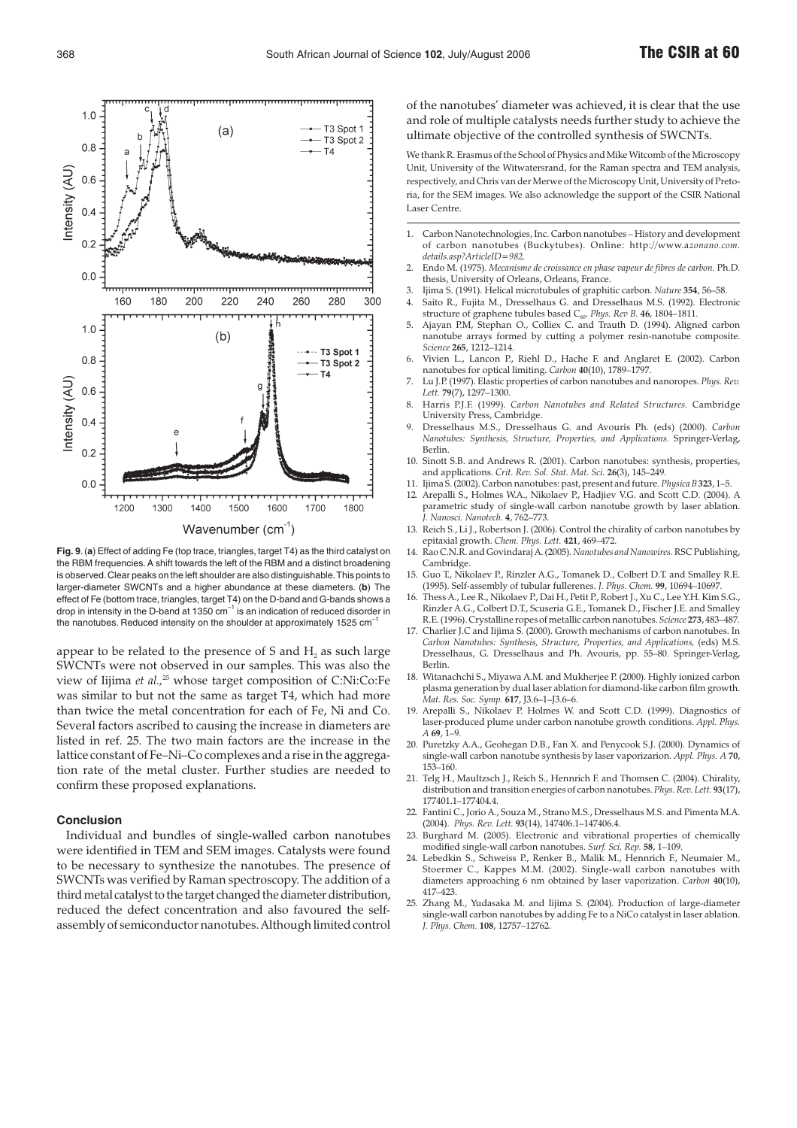

**Fig. 9**.(**a**) Effect of adding Fe (top trace, triangles, target T4) as the third catalyst on the RBM frequencies. A shift towards the left of the RBM and a distinct broadening is observed.Clear peaks on the left shoulder are also distinguishable.This points to larger-diameter SWCNTs and a higher abundance at these diameters. (**b**) The effect of Fe (bottom trace, triangles, target T4) on the D-band and G-bands shows a drop in intensity in the D-band at 1350  $cm^{-1}$  is an indication of reduced disorder in the nanotubes. Reduced intensity on the shoulder at approximately 1525 cm<sup>-1</sup>

appear to be related to the presence of S and H, as such large SWCNTs were not observed in our samples. This was also the view of Iijima *et al.*,<sup>25</sup> whose target composition of C:Ni:Co:Fe was similar to but not the same as target T4, which had more than twice the metal concentration for each of Fe, Ni and Co. Several factors ascribed to causing the increase in diameters are listed in ref. 25. The two main factors are the increase in the lattice constant of Fe–Ni–Co complexes and a rise in the aggregation rate of the metal cluster. Further studies are needed to confirm these proposed explanations.

## **Conclusion**

Individual and bundles of single-walled carbon nanotubes were identified in TEM and SEM images. Catalysts were found to be necessary to synthesize the nanotubes. The presence of SWCNTs was verified by Raman spectroscopy. The addition of a third metal catalyst to the target changed the diameter distribution, reduced the defect concentration and also favoured the selfassembly of semiconductor nanotubes. Although limited control

of the nanotubes' diameter was achieved, it is clear that the use and role of multiple catalysts needs further study to achieve the ultimate objective of the controlled synthesis of SWCNTs.

We thank R. Erasmus of the School of Physics and Mike Witcomb of the Microscopy Unit, University of the Witwatersrand, for the Raman spectra and TEM analysis, respectively, and Chris van der Merwe of the Microscopy Unit, University of Pretoria, for the SEM images. We also acknowledge the support of the CSIR National Laser Centre.

- 1. Carbon Nanotechnologies, Inc. Carbon nanotubes History and development of carbon nanotubes (Buckytubes). Online: http://www.a*zonano.com. details.asp?ArticleID=982.*
- 2. Endo M. (1975). *Mecanisme de croissance en phase vapeur de fibres de carbon.* Ph.D. thesis, University of Orleans, Orleans, France.
- 3. Ijima S. (1991). Helical microtubules of graphitic carbon. *Nature* **354**, 56–58.
- 4. Saito R., Fujita M., Dresselhaus G. and Dresselhaus M.S. (1992). Electronic structure of graphene tubules based C<sub>60</sub>. *Phys. Rev B*. 46, 1804-1811.
- 5. Ajayan P.M, Stephan O., Colliex C. and Trauth D. (1994). Aligned carbon nanotube arrays formed by cutting a polymer resin-nanotube composite. *Science* **265**, 1212–1214.
- 6. Vivien L., Lancon P., Riehl D., Hache F. and Anglaret E. (2002). Carbon nanotubes for optical limiting. *Carbon* **40**(10), 1789–1797.
- 7. Lu J.P. (1997). Elastic properties of carbon nanotubes and nanoropes. *Phys. Rev. Lett.* **79**(7), 1297–1300.
- 8. Harris P.J.F. (1999). *Carbon Nanotubes and Related Structures.* Cambridge University Press, Cambridge.
- 9. Dresselhaus M.S., Dresselhaus G. and Avouris Ph. (eds) (2000). *Carbon Nanotubes: Synthesis, Structure, Properties, and Applications.* Springer-Verlag, Berlin.
- 10. Sinott S.B. and Andrews R. (2001). Carbon nanotubes: synthesis, properties, and applications. *Crit. Rev. Sol. Stat. Mat. Sci.* **26**(3), 145–249.
- 11. Ijima S. (2002). Carbon nanotubes: past, present and future.*Physica B***323**, 1–5.
- 12. Arepalli S., Holmes W.A., Nikolaev P., Hadjiev V.G. and Scott C.D. (2004). A parametric study of single-wall carbon nanotube growth by laser ablation. *J. Nanosci. Nanotech.* **4**, 762–773.
- 13. Reich S., Li J., Robertson J. (2006). Control the chirality of carbon nanotubes by epitaxial growth. *Chem. Phys. Lett.* **421**, 469–472.
- 14. Rao C.N.R. and Govindaraj A. (2005). *Nanotubes and Nanowires.*RSC Publishing, Cambridge.
- 15. Guo T., Nikolaev P., Rinzler A.G., Tomanek D., Colbert D.T. and Smalley R.E. (1995). Self-assembly of tubular fullerenes. *J. Phys. Chem.* **99**, 10694–10697.
- 16. Thess A., Lee R., Nikolaev P., Dai H., Petit P., Robert J., Xu C., Lee Y.H. Kim S.G., Rinzler A.G., Colbert D.T., Scuseria G.E., Tomanek D., Fischer J.E. and Smalley R.E. (1996). Crystalline ropes of metallic carbon nanotubes. *Science* **273**, 483–487.
- 17. Charlier J.C and Iijima S. (2000). Growth mechanisms of carbon nanotubes. In *Carbon Nanotubes: Synthesis, Structure, Properties, and Applications,* (eds) M.S. Dresselhaus, G. Dresselhaus and Ph. Avouris, pp. 55–80. Springer-Verlag, Berlin.
- 18. Witanachchi S., Miyawa A.M. and Mukherjee P. (2000). Highly ionized carbon plasma generation by dual laser ablation for diamond-like carbon film growth. *Mat. Res. Soc. Symp.* **617**, J3.6–1–J3.6–6.
- 19. Arepalli S., Nikolaev P. Holmes W. and Scott C.D. (1999). Diagnostics of laser-produced plume under carbon nanotube growth conditions. *Appl. Phys. A* **69**, 1–9.
- 20. Puretzky A.A., Geohegan D.B., Fan X. and Penycook S.J. (2000). Dynamics of single-wall carbon nanotube synthesis by laser vaporizarion. *Appl. Phys. A* **70**, 153–160.
- 21. Telg H., Maultzsch J., Reich S., Hennrich F. and Thomsen C. (2004). Chirality, distribution and transition energies of carbon nanotubes. *Phys. Rev. Lett.* **93**(17), 177401.1–177404.4.
- 22. Fantini C., Jorio A., Souza M., Strano M.S., Dresselhaus M.S. and Pimenta M.A. (2004). *Phys. Rev. Lett.* **93**(14), 147406.1–147406.4.
- 23. Burghard M. (2005). Electronic and vibrational properties of chemically modified single-wall carbon nanotubes. *Surf. Sci. Rep.* **58**, 1–109.
- 24. Lebedkin S., Schweiss P., Renker B., Malik M., Hennrich F., Neumaier M., Stoermer C., Kappes M.M. (2002). Single-wall carbon nanotubes with diameters approaching 6 nm obtained by laser vaporization. *Carbon* **40**(10), 417–423.
- 25. Zhang M., Yudasaka M. and Iijima S. (2004). Production of large-diameter single-wall carbon nanotubes by adding Fe to a NiCo catalyst in laser ablation. *J. Phys. Chem.* **108**, 12757–12762.